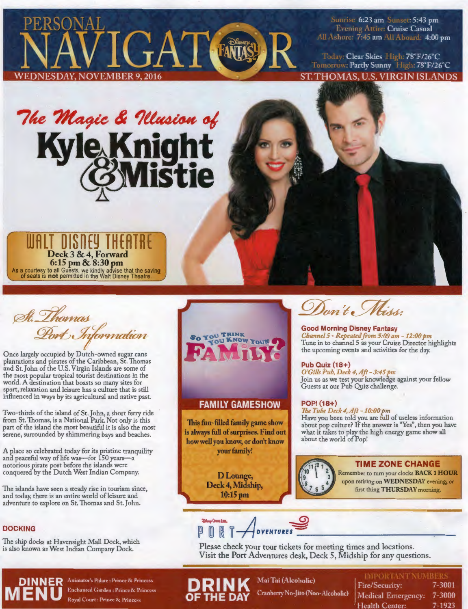

Sunrise 6:23 am Sunset: 5:43 pm Evening Attire: Cruise Casual All Ashore: 7:45 am All Aboard: 4:00 pm

Today: Clear Skies High: 78°F/26°C Tomorrow: Partly Sunny High: 78°F/26°C **ST. THOMAS, U.S. VIRGIN ISLANDS** 

# The Magic & Illusion of Kyle Knight<br>@Mistie

*r*  **UJALT DISnEY THEATRE** "' Deck 3 & 4, Forward **6:15 pm & 8:30 pm**  As a courtesy to all Guests, we kindly advise that the saving of seats is **not** permitted in the Walt Disney Theatre.

St. Thomas Port Information

Once largely occupied by Dutch-owned sugar cane plantations and pirates of the Caribbean, St. Thomas and St.John of the U.S. Virgin Islands are some of the most popular tropical tourist destinations in the world. A destination that boasts so many sites for sport, relaxation and leisure has a culture that is still influenced in ways by its agricultural and native past.

Two-thirds of the island of St.John, a short ferry ride from St. Thomas, is a National Park. Not only is this part of the island the most beautiful it is also the most serene, surrounded by shimmering bays and beaches.

A place so celebrated today fot its pristine tranquility and peaceful way of life was-for 150 years-a notorious pirate post before the islands were conquered by the Dutch West Indian Company.

The islands have seen a steady rise in tourism since, and today, there is an entire world of leisure and adventure to explore on St. Thomas and St.John.

# **DOCKING**

The ship docks at Havensight Mall Dock, which is also known as West Indian Company Dock.



# **FAMILY GAMESHOW**

**This fun-filled family game show is always full of surprises. Find out how well you know, or don't know your family!** 

> **DLounge, Deck 4, Midship, 10:15pm**

Don't Miss:

**Good Morning Disney Fantasy**  *Cha1111el 5* - *Repeated from 5:00 am* - *12:00 pm*  Tune in to channel *5* as your Cruise Director highlights the upcoming events and activities for the day.

# **Pub Oyiz (18+)**

*O'Gills Pub, Deck 4, Aft - 3:45 pm* Join us as we test your knowledge against your fellow Guests at our Pub Quiz challenge.

# **POP! (18+)**

*The Tube Deck 4, Aft - 10:00 pm* Have you been told you are full of useless information about pop culture? If the answer is "Yes", then you have what it takes to play the high energy game show all about the world of Pop!



# **TIME ZONE CHANGE**

Remember to turn your clocks **BACK 1 HOUR**  upon retiring on **WEDNESDAY** evening, **or**  first thing THURSDAY morning.

~(IUIS<ll!<. **-A \_\_g) PORT ADVENTURES** 

Please check your tour tickets for meeting times and locations. Visit the Port Adventures desk, Deck 5, Midship for any questions.

**DINNER** ,~nim,ttor's l:,J,tte : Prince & Princess **D R I N K** Mai Tai (Alcoholic) I . ' ' " '. '.' · \ 1 <sup>1</sup> **CRANDED IN CRANDED IN CRANDED IN CRANDED IN A SERVICE OF THE DAY** Cranberry No-Jito (Non-Alcoholic)

| <b>DINNER</b> Animator's Palate : Prince & Princess |                                                                                                                                         |                 |            |
|-----------------------------------------------------|-----------------------------------------------------------------------------------------------------------------------------------------|-----------------|------------|
| MENU Enchanted Garden : Prince & Princess           | <b>DRINK</b> Mai Lat (Alcoholic) Fire/Security: 7-3001<br><b>OF THE DAY</b> Cranberry No-Jito (Non-Alcoholic) Medical Emergency: 7-3000 |                 |            |
|                                                     |                                                                                                                                         | 'Health Center: | $7 - 1923$ |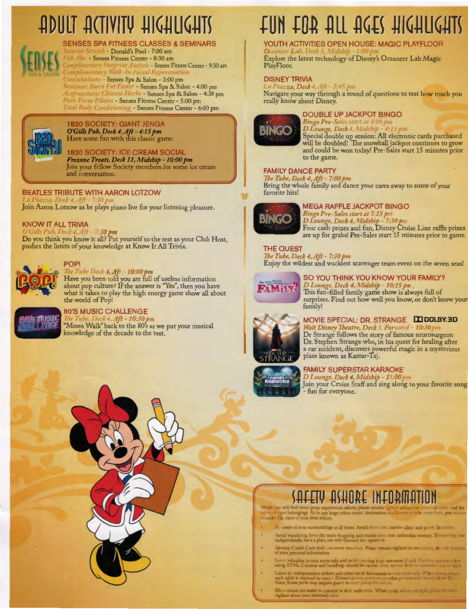# **АДИСТ АСТІVІТУ НІСНИСНІ**



**SENSES SPA FITNESS CLASSES & SEMINARS** unrise Stretch - Donald's Pool - 7:00 am Full Abs - Senses Fitness Center - 8:30 am

Jomplimentary Foutprint Analysis - Senses Fitness Center - 9:30 am<br>Jomplimentary Walk-In Facial Rejuvenation Consultations - Senses Spa & Salon - 3:00 pm Seminar: Burn Fat Faster - Senses Spa & Salon - 4:00 pm<br>Aenpuncture: Chinese Herbs - Senses Spa & Salon - 4:30 pm

**Pure Form Pilates - Senses Fitness Center - 5:00 pm**<br>Total Body Conditioning - Senses Fitness Center - 6:00 pm



**1820 SOCIETY: GIANT JENGA** O'Gills Pub, Deck 4, Aft - 4:15 pm Have some fun with this classic game.

**1820 SOCIETY: ICE CREAM SOCIAL** Frozone Treats, Deck 11, Midship - 10:00 pm Join your fellow Society members for some ice cream and conversation.

# **BEATLES TRIBUTE WITH AARON LOTZOW** Join Aaron Lotzow as he plays piano live for your listening pleasure.

# **KNOW IT ALL TRIVIA**

O'Gills Pub, Deck 4, Aft - 7:30 pm<br>Do you think you know it all? Put yourself to the test as your Club Host, pushes the limits of your knowledge at Know It All Trivia.



# **POP!**

The Tube Deck  $4$ ,  $Af1 - 10:00$  pm<br>Have you been told you are full of useless information<br>about pop culture? If the answer is "Yes", then you have what it takes to play the high energy game show all about the world of Pop!



# **80'S MUSIC CHALLENGE**

 $4.4ft - 10:30pn$ 'Moon Walk" back to the 80's as we put your musical knowledge of the decade to the test.

# **EUN EOB ALL ACES HICHLICHIS**

# YOUTH ACTIVITIES OPEN HOUSE: MAGIC PLAYFLOOR

Explore the latest technology of Disney's Oceaneer Lab Magic PlayFloor.

# **DISNEY TRIVIA**

La Piazza, Deck 4, Aft - 2:45 pm

Navigate your way through a round of questions to test how much you really know about Disney.



# **DOUBLE UP JACKPOT BINGO**

**Bingo Pre-Sales start at 4:00 pm**<br>D Lounge, Deck 4. Midship - 4:15 pm

Special double up session: All electronic cards purchased<br>will be doubled! The snowball jackpot continues to grow and could be won today! Pre-Sales start 15 minutes prior to the game.

# **FAMILY DANCE PARTY**

The Tube, Deck 4, Aft - 7:00 pm Bring the whole family and dance your cares away to some of your favorite hits!



# **MEGA RAFFLE JACKPOT BINGO**

Bingo Pre-Sales start at 7.15 pm<br>D Lounge, Deck 4, Midship - 7:30 pm<br>Four cash prizes and fun, Disney Cruise Line raffle prizes<br>are up for grabs! Pre-Sales start 15 minutes prior to game.

**THE QUEST** 

The Tube, Deck 4, Aft - 7:30 pm<br>Enjoy the wildest and wackiest scavenger team event on the seven seas!



SO YOU THINK YOU KNOW YOUR FAMILY? D Lounge, Deck 4, Midship - 10:15 p. This fun-filled family game show is always full of surprises. Find out how well you know, or don't know your family!



# MOVIE SPECIAL: DR. STRANGE **LOOLBY.3D**

Walt Disney Theatre, Deck 3, Forward - 10:30 pm Dr Strange follows the story of famous neurosurgeon Dr. Stephen Strange who, in his quest for healing after a car accident, discovers powerful magic in a mysterious place known as Kamar-Taj.



# **FAMILY SUPERSTAR KARAOKE**

D Lounge, Deck 4, Midship - 11:00 pm<br>Join your Cruise Staff and sing along to your favorite song fun for everyone.

# <u> YULEIN URHOBE INLOBWUIIOH</u>

While you will find many will find many great experiences ashore, please remain vigiliant about it an personal allery at part belongings. As in any large urban tourist destination, yield allerge in the same basic proal niere und the

- Bij aware of your surroundings at all times. Avoid short critis, narrow alleys and poorly lit streets,
- Avoid wandering from the main shopping and tourist areas into unfamiliar territor. If venturing out independently, have a plan, use only licensed taxi operation.
- Identity/Credit Card theft can occur anywhere. Please remain vigilant in meninsting the safe is
- .<br>Leave valuables in vour room safe and av al carrying large amounts of cash. Exercise v<br>using ATMs. Cameras and handbag: should be carried close to your binly ar concealed
- .<br>Leave air transportation tickets and other travel documents in juiur murni iafe. When going adje<br>ach adult is required to carry (). Driver's license, paraports rabore, government-itsued photo ID.<br>Note: Some ports may req
- crimes are easier to commit in dark unlit areas. When going achose at sught, please be extract to bour your personal safety.

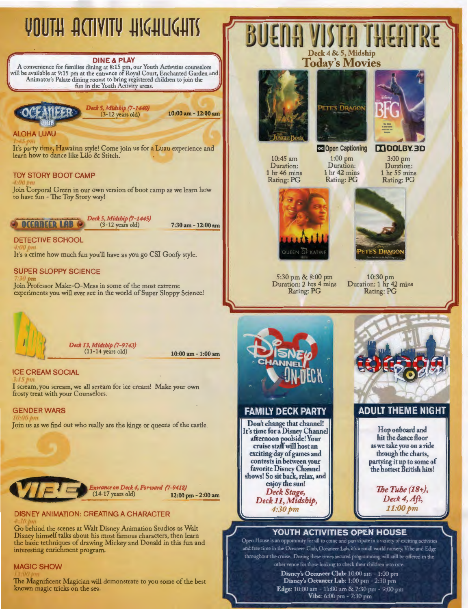# VOUTH ACTIVITY HIGHLIGHTS

# **DINE** & **PLAY**

**A** convenience for families dining at 8:15 pm, our Youth Activities counselors will be available at 9:15 pm at the entrance of Royal Court, Enchanted Garden and Animator's Palate dining rooms to bring registered children to join the fun in the Youth Activity areas.

*Deck 5, Midship {7-1440}* \_\_\_ (3\_-12 years old) 10:00 am - 12:00 am

ALOHA LUAU

It's party time, Hawaiian style! Come join us for a Luau experience and learn how to dance like Lilo & Stitch.

# TOY STORY BOOT CAMP

*)* I Join Corporal Green in our own version of boot camp as we learn how to have fun - The Toy Story way!

*Deck 5, Midship {7-1445)*  **,.,....,i,iiiiiiiii,ii,iii,iiiiii,,oiiiiiii;;;..r·.-....:.(3\_-\_12** years old) 7:30 am - 12:00 am

**DETECTIVE SCHOOL**  *00['11*  It's a crime how much fun you'll have as you go CSI Goofy style.

# **SUPER SLOPPY SCIENCE**

Join Professor Make-O-Mess in some of the most extreme experiments you will ever see in the world of Super Sloppy Science!



*Deck 13, Midship {7-9743)*  (11-14 years old)

**ICE CREAM SOCIAL** 

**,.15p**  I scream, you scream, we all scream for ice cream! Make your own frosty treat with your Counselors.

**GENDER WARS**<br>*10:00 pm*<br>Join us as we find out who really are the kings or queens of the castle.



# DISNEY ANIMATION: CREATING A CHARACTER

Go behind the scenes at Walt Disney Animation Studios as Walt Disney himself talks about his most famous characters, then learn the basic techniques of drawing Mickey and Donald in this fun and interesting enrichment program.

# MAGIC SHOW

The Magnificent Magician will demonstrate to you some of the best known magic tricks on the sea.









10:45 am Duration: 1 hr 46 mins Rating: PG

1:00 pm Duration: 1 hr 42 mins Rating: PG

3:00 pm Duration: 1 hr 55 mins Rating: PG



5:30 pm & 8:00 pm Duration: 2 hrs 4 mins Rating: PG



10:30 pm Duration: 1 hr 42 mins Rating: PG



**FAMILY DECK PARTY** 

**Don't change that channel! It's time for a Disney Channel afternoon p\_oolside! Your cruise staff will host an exciting day of games and contests in between your favorite Disney Channel shows! So sit back, relax, and enjoy the sun!**  *Deck Stage, Deck 11, Midship, 4:30pm* 



# **YOUTH ACTIVITIES OPEN HOUSE**

Open House is an opportunity for all to come and participate in a variety of exciting activities and free time in the Oceaneer Club, Oceaneer Lab, it's a small world nursery, Vibe and Edge throughout the cruise. During these times secured programming will still be offered in the other venue for those looking to check their children into care.

**Disney's Oceaneer Club:** 10:00 am - 1 :00 pm **Disney's Oceaneer Lab:** 1:00 pm - 2:30 pm **Edge:** 10:00 am - 11:00 am & 7:30 pm - 9:00 pm **Vibe:** 6:00 pm - 7:30 pm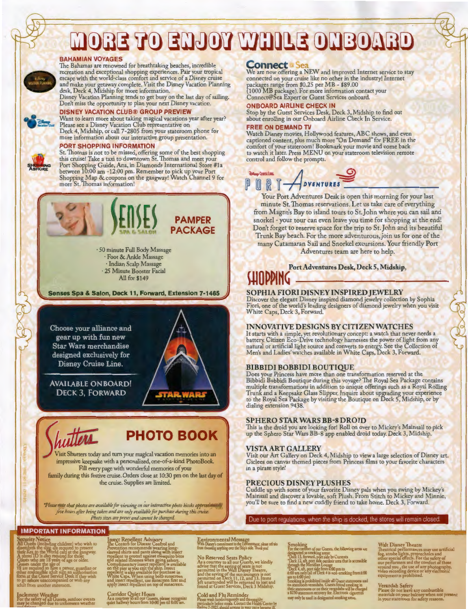# **MORE TO ENJOY WHILE ONBOARD**

**BAHAMIAN VOYAGES**<br>The Bahamas are renowned for breathtaking beaches, incredible The Bahamas are renowned for breathtaking beaches, incredible recreation and exceptional shopping experiences. Pair your tropical escape with the world-class comfort and service of a Disney cruise and make your getaway complete. Visit the Disney Vacation Planning desk, Deck 4, Midship for more information.

Disney Vacation Planning tends to get busy on the last day of sailing. Don't miss the opportunity to plan your next Disney vacation.<br>DISNEY VACATION CLUB® GROUP PREVIEW

# **DISNEY VACATION CLUB® GROUP PREVIEW**

Want to learn more about taking magical vacations year after year? Please see a Disney Vacation Club representative on Deck 4, Midship, or call 7-2805 from your stateroom phone for more information about our interactive group presentation.

## **PORT SHOPPING INFORMATION**

St. Thomas is not to be missed, offering some of the best shopping<br>this cruise! Take a taxi to downtown St. Thomas and meet your this cruise! Take a taxi to downtown St. Ihomas and meet your<br>Port Shopping Guide, Ana, in Diamonds International Store #1a<br>between 10:00 am -12:00 pm. Remember to pick up your Port<br>Shopping Map & coupons on the gangway! W



Visit Shutters today and turn your magical vacation memories into an impressive keepsake with a personalized, one-of-a-kind PhotoBook Fill every page with wonderful memories of your family during this festive cruise. Orders close at 10:30 pm on the last day of the cruise. Supplies are limited.

\*Please mate that photos are available for viewing on our interactive photo kiosks approximately five hours after being taken and are only available for purchase during this cruise. *Photo sizes are preset and cannot be changed* 

**Corridor Quiet Hours** 

# **IMPORTANT INFORMATION**

Security Notice<br>All Guests (including children) who wish to<br>disembate the slup are required to present<br>high Key to the World card at the gangway.<br>A shote ID is also required for those **Guests who are 18 vears of age or older. Guests under rhe age of 18 are required ro fiave a parent, &1;1ardian or pher responsible adult sign an authorization**<br>by **m at the Graest Service Desk if they wish**<br>to go a**shore unaccompanied or with any**<br>adult from another stateroom.

Incht Weather<br>Incht Weather<br>For the safed due to unforeseen weather

Prevention recommends wearing long-<br>**sleeved shirts and pants along with insect**<br>repellent to protect against mosquito bites **Cod~~t:~~ra;sisn~e';thic~fil!~f fss~:i)~ble on the pier as you exit the ship. Insect**  White Caps. When using both sunscr<del>ee</del>n<br>and insect repellent, use sunscreen first and<br>apply insect repellent on top of sunscreen.

**insect Repellent Advisory Fronting of the Environmental Message 1986, and the Ship of the Ship's Smoking (Walt Disney Theatre<br>The Center's for Disease Control and With Disney ions diversion of the Ship's side. Thank you!** 

No Reserved Seats Policy *As* **a courresh to all our Guesh, we kindly**  advise that the saving of seals is not and the saving of the sun louingers is not<br>permitted on Deck 11, 12, and 13. Items<br>left unattended will be returned to lost and<br>found at Guest Services, Deck 3 Midship.

**<u>wiet hallway to all our Guesus</u>, piease recognize** Cold and Flu Reminder ;<br>iv before meals. Contact the Health Center by<br>1923, should anyone in your party become ill.

**Connect <u><b>1** Sea</u><br>We are now offering a NEW and improved Internet service to stay connected on your cruise like no other in the industry! Internet<br>packages range from \$0.25 per MB - \$89.00<br>(1000 MB package). For more information contact your

Connect@Sea Experr or Guest Services onboard.

# **ONBOARD AIRLINE CHECK IN**

Stop by the Guest Services Desk, Deck 3, Midship to find out about enrolling in our Onboard Airline Check In Service.

# **FREE ON DEMAND TV**

Watch Disney movies, Hollywood features, ABC shows, and even captioned content, plus much more "On Demand" for FREE in the comfort of your stateroom! Bookmark your movie and come back to watch it later. Press MENU on your stateroom television remote control and follow the prompts.



minute St. Thomas reservations. Let us take care of everything from Magen's Bay to island tours to St.John where you can sail and snorkel - your tour can even leave you time for shopping at the end! Don't forget to reserve space for the trip to St.John and its beautiful Trunk Bay beach. For the more adventurous,join us for one of the

many Catamaran Sail and Snorkel excursions. Your friendly Port Adventures team are here to help.

**Port Adventures Desk, Deck 5, Midship,** 

# **WOPPING**

## **SOPHIA FIORI DISNEY INSPIRED JEWELRY**

Discover the elegant Disney inspired diamond jewelry collection by Sophia Fiori, one of the world's leading designers of diamond jewelry when you visit White Caps, Deck 3, Forward.

## **INNOVATIVE DESIGNS BY CITIZEN WATCHES**

It starts with a simple, yet revolutionary concept: a watch that never needs a<br>battery. Citizen Eco-Drive technology harnesses the power of light from any<br>natural or artificial light source and converts to energy. See the Men's and Ladies'watches available in White Caps, Deck 3, Forward.

## **BIBBIDI BOBBIDI BOUTIQUE**

Does your Princess have more than one transformation reserved at the Bibbidi Bobbidi Boutique during this voyage? The Royal Sea Package contains multiple transformations in addition to unique offerings such as a Royal Rolling Trunk and a Keepsake Glass Slipper. Inquire about upgrading your experience<br>to the Royal Sea Package by visiting the Boutique on Deck 5, Midship, or by<br>dialing extension 9438.

## **SPHERO STAR WARS BB-8 DROID**

This is the droid you are looking for! Roll on over to Mickey's Mainsail to pick up the Sphero Star Wars BB-8 app enabled droid today. Deck 3, Midship.

## **VISTA ART GALLERY**

Visit our Art Gallery on Deck 4, Midship to view a large selection of Disney art. Giclees on canvas themed pieces from Princess films to your favorite characters in a pirate style!

## **PRECIOUS DISNEY PLUSHES**

Cuddle up with some of your favorite Disney pals when you swing by Mickey's Mainsail and discover a lovable, soft Plush. From Stitch to Mickey and Minnie, you'll be sure to find a new cuddly friend to take home. Deck 3, Forward.

Due to port regulations, when the ship is docked, the stores will remain closed.

For the conflorm of our Guests, the following areas are<br>designated as smoking areas:<br>"Deck 13, forward, port side by Currents<br>"Deck 13, aft, port nide outdoor area that is accessible<br>through the Meridian Lounge<br>"Deck 4, af

Walt Disney Theatre<br>Theatrical performances may use artificial fog, strobe lights, pyrotechnics and<br>onter special effects. For the safety of<br>our performers and the comfort of those<br>around you, the use of any photography,<br>

Verandah Safety **Please do nor leave any combustible materials on your balconJ' when nor present in your stateroom for safcry reasons.**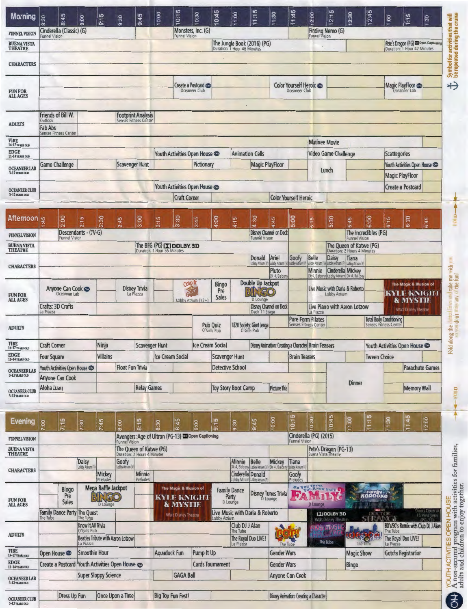